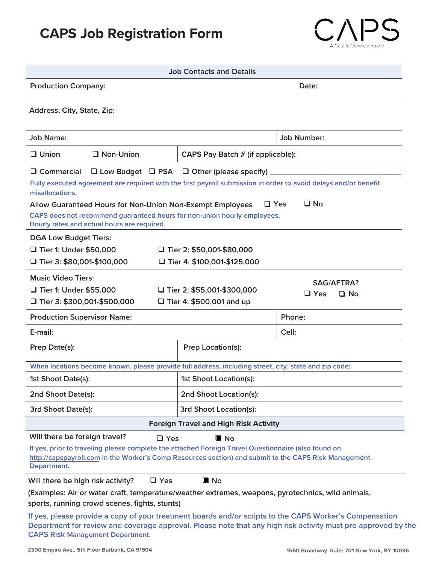## **CAPS Job Registration Form**



| <b>Job Contacts and Details</b>                                                                                                                                                                                                                                                                                  |                                   |                                              |  |  |
|------------------------------------------------------------------------------------------------------------------------------------------------------------------------------------------------------------------------------------------------------------------------------------------------------------------|-----------------------------------|----------------------------------------------|--|--|
| <b>Production Company:</b>                                                                                                                                                                                                                                                                                       |                                   | Date:                                        |  |  |
| Address, City, State, Zip:                                                                                                                                                                                                                                                                                       |                                   |                                              |  |  |
| <b>Job Name:</b>                                                                                                                                                                                                                                                                                                 |                                   | <b>Job Number:</b>                           |  |  |
| $\Box$ Non-Union<br>$\Box$ Union                                                                                                                                                                                                                                                                                 | CAPS Pay Batch # (if applicable): |                                              |  |  |
| $\Box$ Low Budget $\Box$ PSA $\Box$ Other (please specify)<br>$\Box$ Commercial<br>Fully executed agreement are required with the first payroll submission in order to avoid delays and/or benefit<br>misallocations.<br>$\square$ No<br>$\Box$ Yes<br>Allow Guaranteed Hours for Non-Union Non-Exempt Employees |                                   |                                              |  |  |
| CAPS does not recommend guaranteed hours for non-union hourly employees.<br>Hourly rates and actual hours are required.                                                                                                                                                                                          |                                   |                                              |  |  |
| <b>DGA Low Budget Tiers:</b><br>□ Tier 1: Under \$50,000<br>$\Box$ Tier 2: \$50,001-\$80,000<br>$\Box$ Tier 3: \$80,001-\$100,000<br>$\Box$ Tier 4: \$100,001-\$125,000                                                                                                                                          |                                   |                                              |  |  |
| <b>Music Video Tiers:</b><br>□ Tier 1: Under \$55,000<br>$\Box$ Tier 2: \$55,001-\$300,000<br>$\Box$ Tier 3: \$300,001-\$500,000<br>$\Box$ Tier 4: \$500,001 and up                                                                                                                                              |                                   | <b>SAG/AFTRA?</b><br>$\Box$ Yes<br>$\Box$ No |  |  |
| <b>Production Supervisor Name:</b>                                                                                                                                                                                                                                                                               |                                   | Phone:                                       |  |  |
| E-mail:                                                                                                                                                                                                                                                                                                          |                                   | Cell:                                        |  |  |
| Prep Date(s):                                                                                                                                                                                                                                                                                                    | <b>Prep Location(s):</b>          |                                              |  |  |
| When locations become known, please provide full address, including street, city, state and zip code:                                                                                                                                                                                                            |                                   |                                              |  |  |
| 1st Shoot Date(s):                                                                                                                                                                                                                                                                                               | 1st Shoot Location(s):            |                                              |  |  |
| 2nd Shoot Date(s):                                                                                                                                                                                                                                                                                               | 2nd Shoot Location(s):            |                                              |  |  |
| 3rd Shoot Date(s):                                                                                                                                                                                                                                                                                               | <b>3rd Shoot Location(s):</b>     |                                              |  |  |
| <b>Foreign Travel and High Risk Activity</b>                                                                                                                                                                                                                                                                     |                                   |                                              |  |  |
| Will there be foreign travel?<br>$\Box$ Yes<br>$\blacksquare$ No<br>If yes, prior to traveling please complete the attached Foreign Travel Questionnaire (also found on<br>http://capspayroll.com in the Worker's Comp Resources section) and submit to the CAPS Risk Management<br>Department.                  |                                   |                                              |  |  |
| Will there be high risk activity?<br>$\Box$ Yes<br>$\blacksquare$ No                                                                                                                                                                                                                                             |                                   |                                              |  |  |
| (Examples: Air or water craft, temperature/weather extremes, weapons, pyrotechnics, wild animals,<br>sports, running crowd scenes, fights, stunts)                                                                                                                                                               |                                   |                                              |  |  |
| If yes, please provide a copy of your treatment boards and/or scripts to the CAPS Worker's Compensation<br>Department for review and coverage approval. Please note that any high risk activity must pre-approved by the<br><b>CAPS Risk Management Department.</b>                                              |                                   |                                              |  |  |